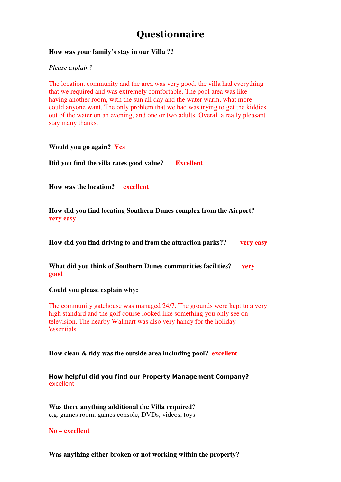## **Ouestionnaire**

## **How was your family's stay in our Villa ??**

*Please explain?*

The location, community and the area was very good. the villa had everything that we required and was extremely comfortable. The pool area was like having another room, with the sun all day and the water warm, what more could anyone want. The only problem that we had was trying to get the kiddies out of the water on an evening, and one or two adults. Overall a really pleasant stay many thanks.

**Would you go again? Yes**

**Did you find the villa rates good value? Excellent**

**How was the location? excellent**

**How did you find locating Southern Dunes complex from the Airport? very easy**

**How did you find driving to and from the attraction parks?? very easy**

**What did you think of Southern Dunes communities facilities? very good**

**Could you please explain why:** 

The community gatehouse was managed 24/7. The grounds were kept to a very high standard and the golf course looked like something you only see on television. The nearby Walmart was also very handy for the holiday 'essentials'.

**How clean & tidy was the outside area including pool? excellent**

## How helpful did you find our Property Management Company? excellent

**Was there anything additional the Villa required?**  e.g. games room, games console, DVDs, videos, toys

**No – excellent** 

**Was anything either broken or not working within the property?**